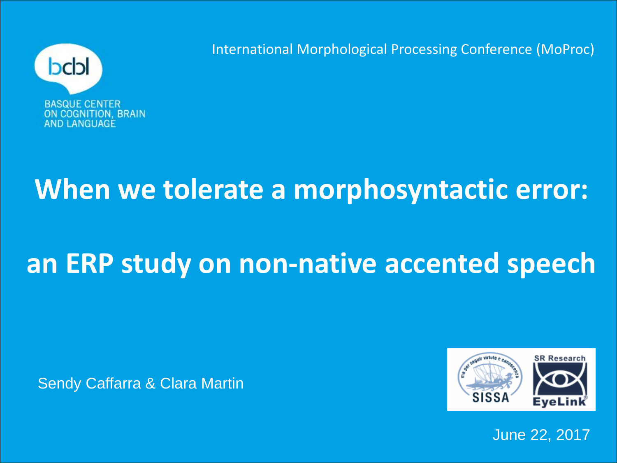

International Morphological Processing Conference (MoProc)

## **When we tolerate a morphosyntactic error:**

# **an ERP study on non-native accented speech**

Sendy Caffarra & Clara Martin



June 22, 2017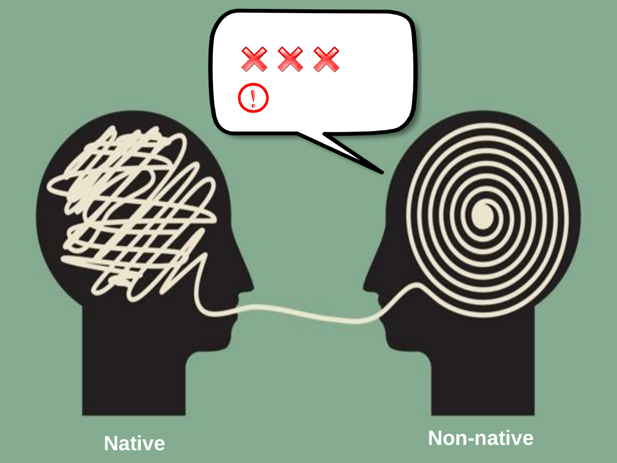



**Native [Non-native](https://www.theatlantic.com/international/archive/2015/01/google-has-not-solved-human-misunderstanding/384521/)**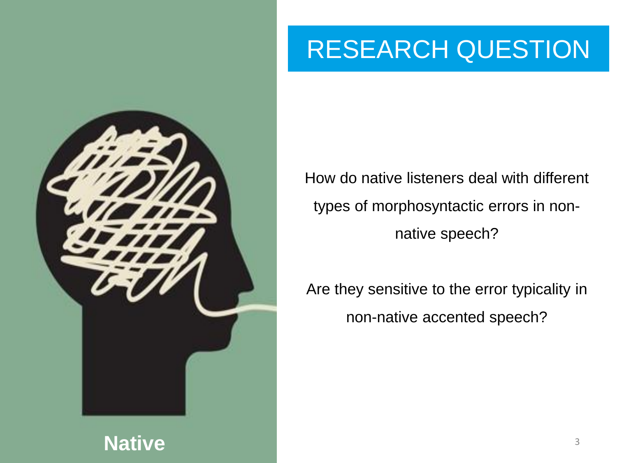

#### RESEARCH RESEARCH QUESTION

How do native listeners deal with different types of morphosyntactic errors in nonnative speech?

Are they sensitive to the error typicality in non-native accented speech?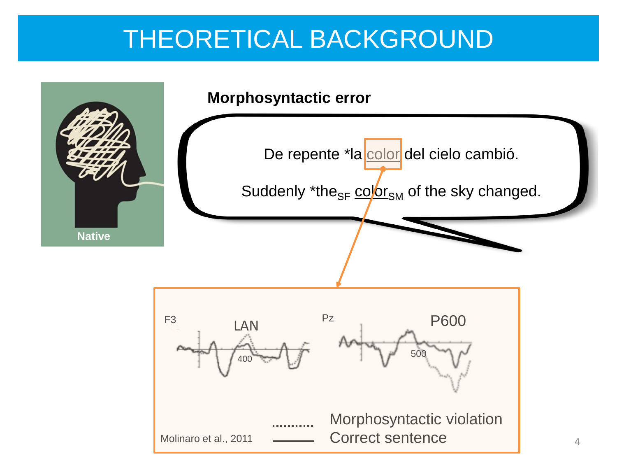### THEORETICAL BACKGROUND

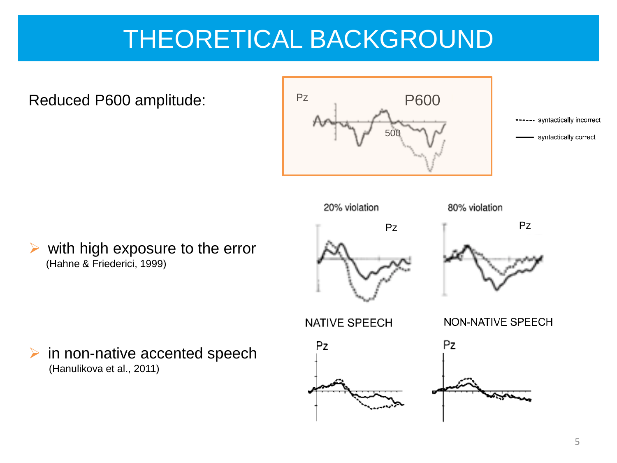### THEORETICAL BACKGROUND

Reduced P600 amplitude:



-- syntactically incorrect syntactically correct



 $\triangleright$  in non-native accented speech (Hanulikova et al., 2011)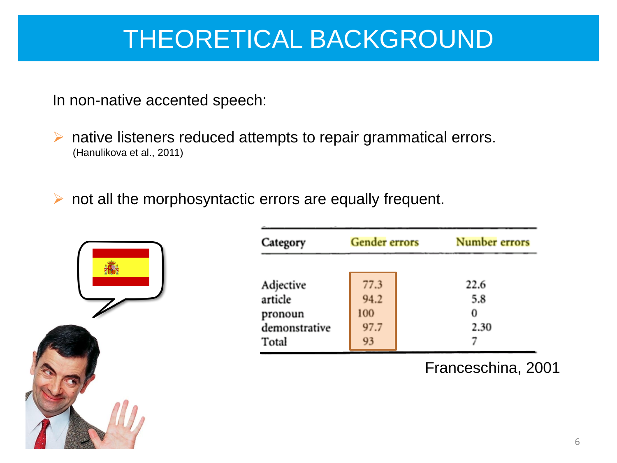### THEORETICAL BACKGROUND

In non-native accented speech:

A native listeners reduced attempts to repair grammatical errors. (Hanulikova et al., 2011)

 $\triangleright$  not all the morphosyntactic errors are equally frequent.



| Category                                                  | <b>Gender</b> errors              | Number errors            |
|-----------------------------------------------------------|-----------------------------------|--------------------------|
| Adjective<br>article<br>pronoun<br>demonstrative<br>Total | 77.3<br>94.2<br>100<br>97.7<br>93 | 22.6<br>5.8<br>0<br>2.30 |

Franceschina, 2001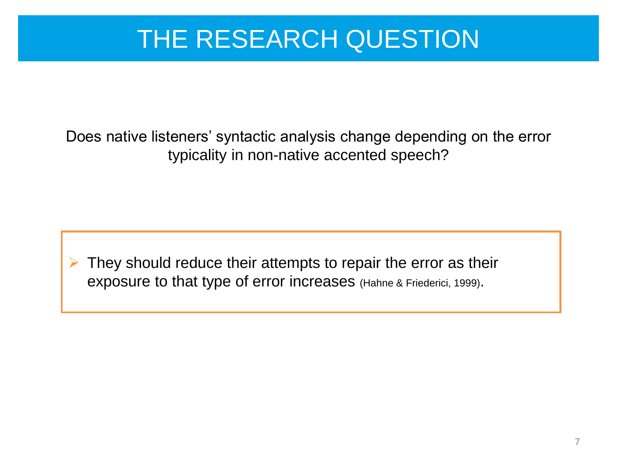### THE RESEARCH QUESTION

Does native listeners' syntactic analysis change depending on the error typicality in non-native accented speech?

 They should reduce their attempts to repair the error as their exposure to that type of error increases (Hahne & Friederici, 1999).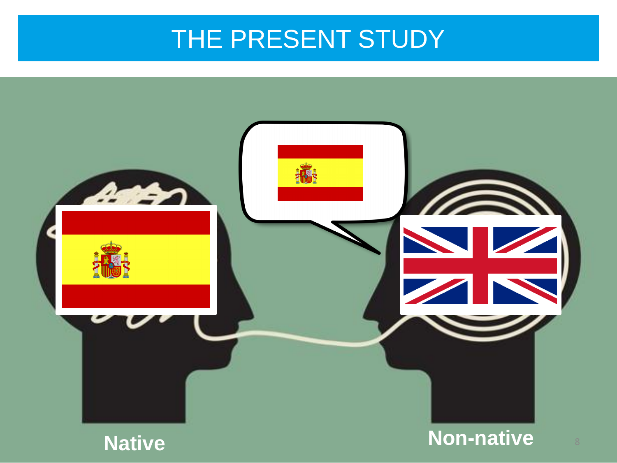### THE PRESENT STUDY

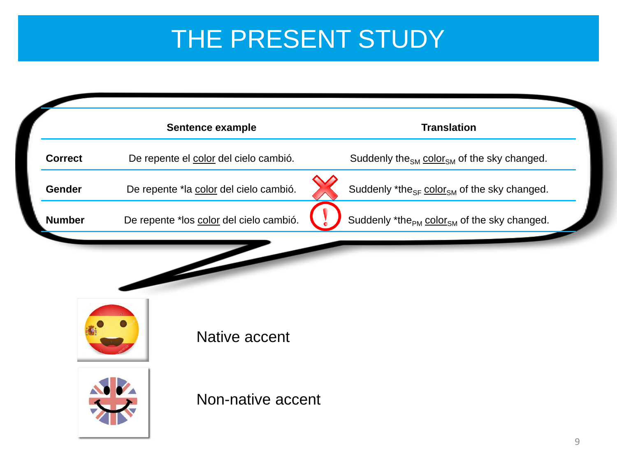### THE PRESENT STUDY

|                | Sentence example                        | <b>Translation</b>                                                  |
|----------------|-----------------------------------------|---------------------------------------------------------------------|
| <b>Correct</b> | De repente el color del cielo cambió.   | Suddenly the <sub>SM</sub> color <sub>SM</sub> of the sky changed.  |
| Gender         | De repente *la color del cielo cambió.  | Suddenly *the <sub>SF</sub> color <sub>SM</sub> of the sky changed. |
| <b>Number</b>  | De repente *los color del cielo cambió. | Suddenly *the <sub>PM</sub> color <sub>SM</sub> of the sky changed. |
|                |                                         |                                                                     |
|                | Native accent                           |                                                                     |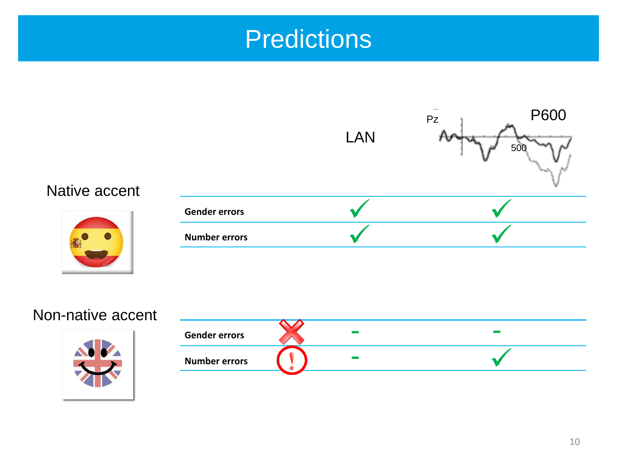### **Predictions**



#### Non-native accent



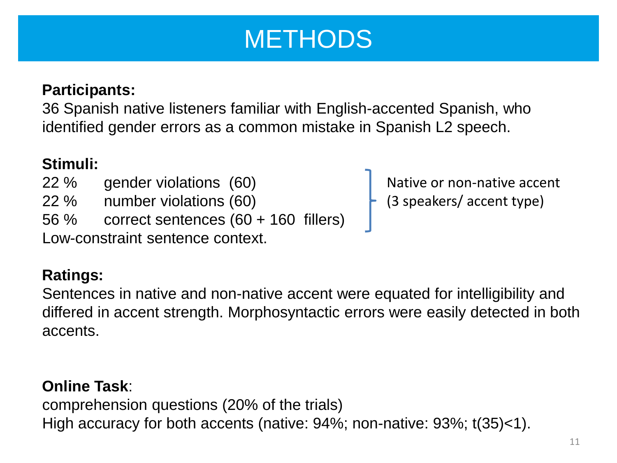### **METHODS**

#### **Participants:**

36 Spanish native listeners familiar with English-accented Spanish, who identified gender errors as a common mistake in Spanish L2 speech.

#### **Stimuli:**

- 22 % gender violations (60)
- 22 % number violations (60)
- 56 % correct sentences (60 + 160 fillers)

Low-constraint sentence context.

#### **Ratings:**

Sentences in native and non-native accent were equated for intelligibility and differed in accent strength. Morphosyntactic errors were easily detected in both accents.

#### **Online Task**:

comprehension questions (20% of the trials) High accuracy for both accents (native: 94%; non-native: 93%; t(35)<1).

Native or non-native accent (3 speakers/ accent type)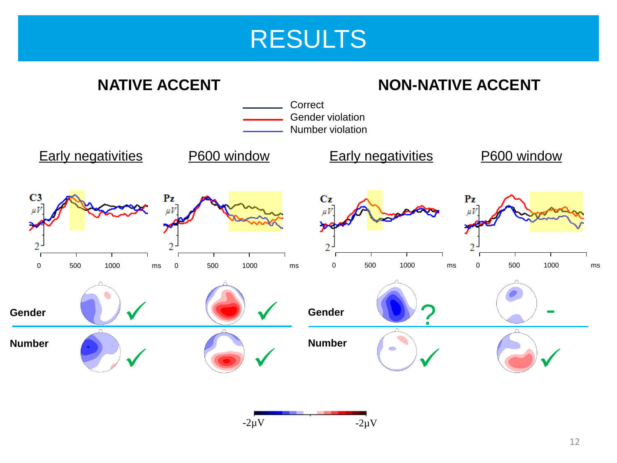

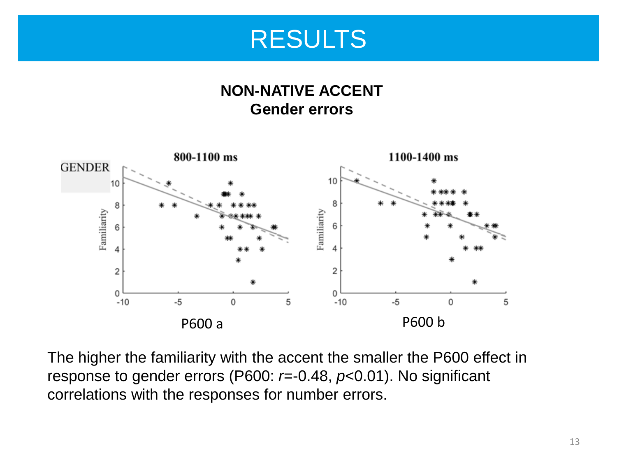

#### **NON-NATIVE ACCENT Gender errors**



The higher the familiarity with the accent the smaller the P600 effect in response to gender errors (P600: *r*=-0.48, *p*<0.01). No significant correlations with the responses for number errors.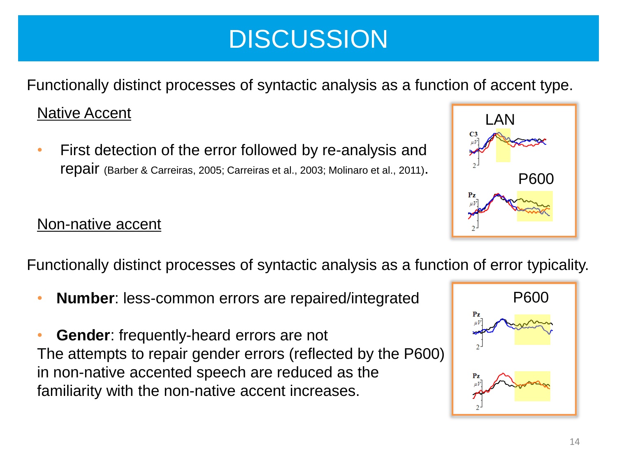### **DISCUSSION**

Functionally distinct processes of syntactic analysis as a function of accent type.

#### Native Accent

• First detection of the error followed by re-analysis and repair (Barber & Carreiras, 2005; Carreiras et al., 2003; Molinaro et al., 2011).



Functionally distinct processes of syntactic analysis as a function of error typicality.

• **Number**: less-common errors are repaired/integrated

• **Gender**: frequently-heard errors are not The attempts to repair gender errors (reflected by the P600) in non-native accented speech are reduced as the familiarity with the non-native accent increases.



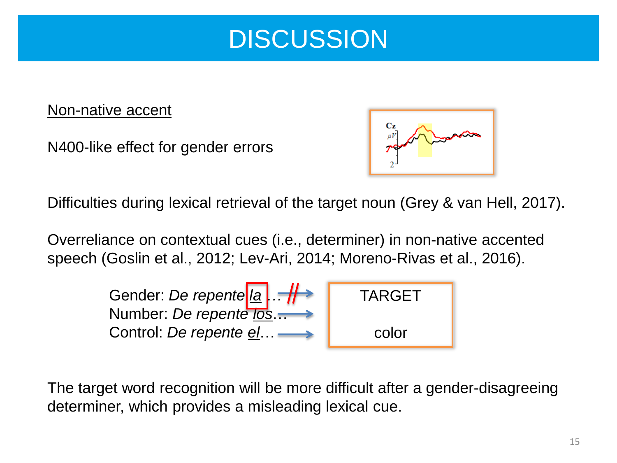

#### Non-native accent

N400-like effect for gender errors



Difficulties during lexical retrieval of the target noun (Grey & van Hell, 2017).

Overreliance on contextual cues (i.e., determiner) in non-native accented speech (Goslin et al., 2012; Lev-Ari, 2014; Moreno-Rivas et al., 2016).



The target word recognition will be more difficult after a gender-disagreeing determiner, which provides a misleading lexical cue.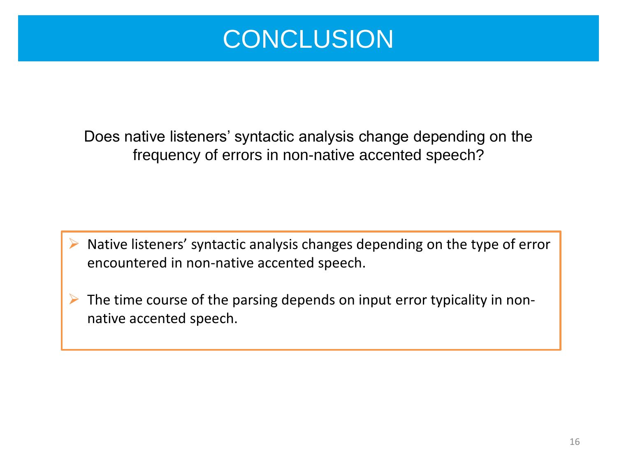

Does native listeners' syntactic analysis change depending on the frequency of errors in non-native accented speech?

 Native listeners' syntactic analysis changes depending on the type of error encountered in non-native accented speech.

 $\triangleright$  The time course of the parsing depends on input error typicality in nonnative accented speech.